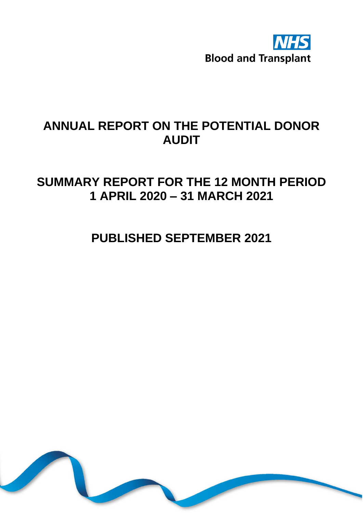

# **ANNUAL REPORT ON THE POTENTIAL DONOR AUDIT**

## **SUMMARY REPORT FOR THE 12 MONTH PERIOD 1 APRIL 2020 – 31 MARCH 2021**

# **PUBLISHED SEPTEMBER 2021**

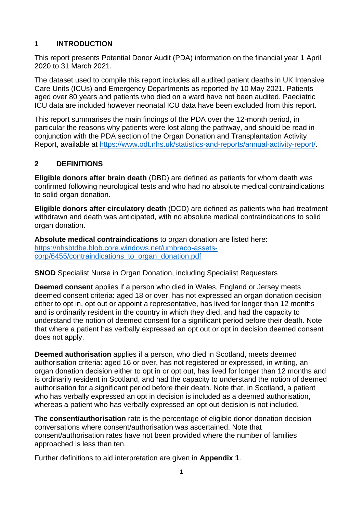#### **1 INTRODUCTION**

This report presents Potential Donor Audit (PDA) information on the financial year 1 April 2020 to 31 March 2021.

The dataset used to compile this report includes all audited patient deaths in UK Intensive Care Units (ICUs) and Emergency Departments as reported by 10 May 2021. Patients aged over 80 years and patients who died on a ward have not been audited. Paediatric ICU data are included however neonatal ICU data have been excluded from this report.

This report summarises the main findings of the PDA over the 12-month period, in particular the reasons why patients were lost along the pathway, and should be read in conjunction with the PDA section of the Organ Donation and Transplantation Activity Report, available at [https://www.odt.nhs.uk/statistics-and-reports/annual-activity-report/.](https://www.odt.nhs.uk/statistics-and-reports/annual-activity-report/)

### **2 DEFINITIONS**

**Eligible donors after brain death** (DBD) are defined as patients for whom death was confirmed following neurological tests and who had no absolute medical contraindications to solid organ donation.

**Eligible donors after circulatory death** (DCD) are defined as patients who had treatment withdrawn and death was anticipated, with no absolute medical contraindications to solid organ donation.

**Absolute medical contraindications** to organ donation are listed here: [https://nhsbtdbe.blob.core.windows.net/umbraco-assets](https://nhsbtdbe.blob.core.windows.net/umbraco-assets-corp/6455/contraindications_to_organ_donation.pdf)[corp/6455/contraindications\\_to\\_organ\\_donation.pdf](https://nhsbtdbe.blob.core.windows.net/umbraco-assets-corp/6455/contraindications_to_organ_donation.pdf)

#### **SNOD** Specialist Nurse in Organ Donation, including Specialist Requesters

**Deemed consent** applies if a person who died in Wales, England or Jersey meets deemed consent criteria: aged 18 or over, has not expressed an organ donation decision either to opt in, opt out or appoint a representative, has lived for longer than 12 months and is ordinarily resident in the country in which they died, and had the capacity to understand the notion of deemed consent for a significant period before their death. Note that where a patient has verbally expressed an opt out or opt in decision deemed consent does not apply.

**Deemed authorisation** applies if a person, who died in Scotland, meets deemed authorisation criteria: aged 16 or over, has not registered or expressed, in writing, an organ donation decision either to opt in or opt out, has lived for longer than 12 months and is ordinarily resident in Scotland, and had the capacity to understand the notion of deemed authorisation for a significant period before their death. Note that, in Scotland, a patient who has verbally expressed an opt in decision is included as a deemed authorisation, whereas a patient who has verbally expressed an opt out decision is not included.

**The consent/authorisation** rate is the percentage of eligible donor donation decision conversations where consent/authorisation was ascertained. Note that consent/authorisation rates have not been provided where the number of families approached is less than ten.

Further definitions to aid interpretation are given in **Appendix 1**.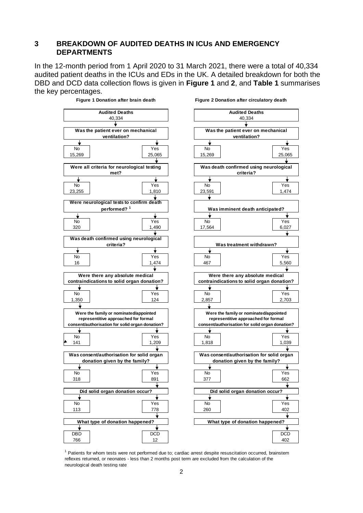#### **3 BREAKDOWN OF AUDITED DEATHS IN ICUs AND EMERGENCY DEPARTMENTS**

In the 12-month period from 1 April 2020 to 31 March 2021, there were a total of 40,334 audited patient deaths in the ICUs and EDs in the UK. A detailed breakdown for both the DBD and DCD data collection flows is given in **Figure 1** and **2**, and **Table 1** summarises the key percentages.



<sup>1</sup> Patients for whom tests were not performed due to; cardiac arrest despite resuscitation occurred, brainstem reflexes returned, or neonates - less than 2 months post term are excluded from the calculation of the neurological death testing rate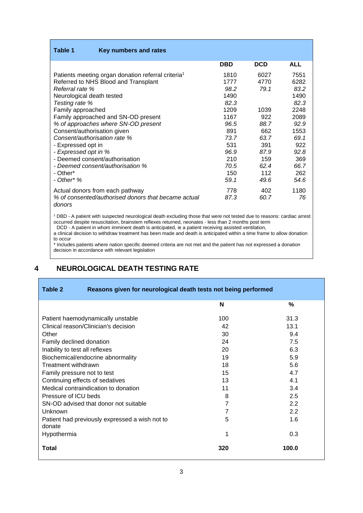| Table 1<br>Key numbers and rates                                                                                                                                                                                                                                                                                                                                                                                                                               |                                                                                                           |                                                                                          |                                                                                                            |
|----------------------------------------------------------------------------------------------------------------------------------------------------------------------------------------------------------------------------------------------------------------------------------------------------------------------------------------------------------------------------------------------------------------------------------------------------------------|-----------------------------------------------------------------------------------------------------------|------------------------------------------------------------------------------------------|------------------------------------------------------------------------------------------------------------|
|                                                                                                                                                                                                                                                                                                                                                                                                                                                                | <b>DBD</b>                                                                                                | <b>DCD</b>                                                                               | <b>ALL</b>                                                                                                 |
| Patients meeting organ donation referral criteria <sup>1</sup><br>Referred to NHS Blood and Transplant<br>Referral rate %<br>Neurological death tested<br>Testing rate %<br>Family approached<br>Family approached and SN-OD present<br>% of approaches where SN-OD present<br>Consent/authorisation given<br>Consent/authorisation rate %<br>- Expressed opt in<br>- Expressed opt in %<br>- Deemed consent/authorisation<br>- Deemed consent/authorisation % | 1810<br>1777<br>98.2<br>1490<br>82.3<br>1209<br>1167<br>96.5<br>891<br>73.7<br>531<br>96.9<br>210<br>70.5 | 6027<br>4770<br>79.1<br>1039<br>922<br>88.7<br>662<br>63.7<br>391<br>87.9<br>159<br>62.4 | 7551<br>6282<br>83.2<br>1490<br>82.3<br>2248<br>2089<br>92.9<br>1553<br>69.1<br>922<br>92.8<br>369<br>66.7 |
| - Other*<br>- Other* %                                                                                                                                                                                                                                                                                                                                                                                                                                         | 150<br>59.1                                                                                               | 112<br>49.6                                                                              | 262<br>54.6                                                                                                |
| Actual donors from each pathway<br>% of consented/authorised donors that became actual<br>donors                                                                                                                                                                                                                                                                                                                                                               | 778<br>87.3                                                                                               | 402<br>60.7                                                                              | 1180<br>76                                                                                                 |

<sup>1</sup> DBD - A patient with suspected neurological death excluding those that were not tested due to reasons: cardiac arrest occurred despite resuscitation, brainstem reflexes returned, neonates - less than 2 months post term

DCD - A patient in whom imminent death is anticipated, ie a patient receiving assisted ventilation,

a clinical decision to withdraw treatment has been made and death is anticipated within a time frame to allow donation to occur

\* Includes patients where nation specific deemed criteria are not met and the patient has not expressed a donation decision in accordance with relevant legislation

### **4 NEUROLOGICAL DEATH TESTING RATE**

Е

| Table 2<br>Reasons given for neurological death tests not being performed |                |       |  |
|---------------------------------------------------------------------------|----------------|-------|--|
|                                                                           | N              | %     |  |
| Patient haemodynamically unstable                                         | 100            | 31.3  |  |
| Clinical reason/Clinician's decision                                      | 42             | 13.1  |  |
| Other                                                                     | 30             | 9.4   |  |
| Family declined donation                                                  | 24             | 7.5   |  |
| Inability to test all reflexes                                            | 20             | 6.3   |  |
| Biochemical/endocrine abnormality                                         | 19             | 5.9   |  |
| Treatment withdrawn                                                       | 18             | 5.6   |  |
| Family pressure not to test                                               | 15             | 4.7   |  |
| Continuing effects of sedatives                                           | 13             | 4.1   |  |
| Medical contraindication to donation                                      | 11             | 3.4   |  |
| Pressure of ICU beds                                                      | 8              | 2.5   |  |
| SN-OD advised that donor not suitable                                     | $\overline{7}$ | 2.2   |  |
| Unknown                                                                   | $\overline{7}$ | 2.2   |  |
| Patient had previously expressed a wish not to<br>donate                  | 5              | 1.6   |  |
| Hypothermia                                                               | 1              | 0.3   |  |
| <b>Total</b>                                                              | 320            | 100.0 |  |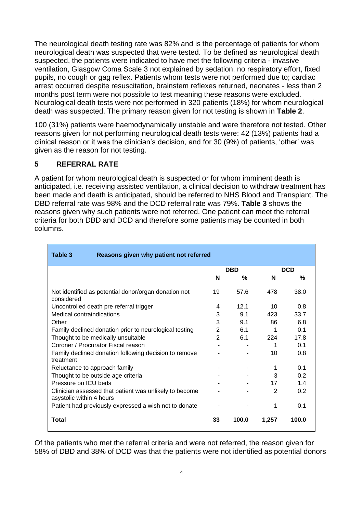The neurological death testing rate was 82% and is the percentage of patients for whom neurological death was suspected that were tested. To be defined as neurological death suspected, the patients were indicated to have met the following criteria - invasive ventilation, Glasgow Coma Scale 3 not explained by sedation, no respiratory effort, fixed pupils, no cough or gag reflex. Patients whom tests were not performed due to; cardiac arrest occurred despite resuscitation, brainstem reflexes returned, neonates - less than 2 months post term were not possible to test meaning these reasons were excluded. Neurological death tests were not performed in 320 patients (18%) for whom neurological death was suspected. The primary reason given for not testing is shown in **Table 2**.

100 (31%) patients were haemodynamically unstable and were therefore not tested. Other reasons given for not performing neurological death tests were: 42 (13%) patients had a clinical reason or it was the clinician's decision, and for 30 (9%) of patients, 'other' was given as the reason for not testing.

#### **5 REFERRAL RATE**

A patient for whom neurological death is suspected or for whom imminent death is anticipated, i.e. receiving assisted ventilation, a clinical decision to withdraw treatment has been made and death is anticipated, should be referred to NHS Blood and Transplant. The DBD referral rate was 98% and the DCD referral rate was 79%. **Table 3** shows the reasons given why such patients were not referred. One patient can meet the referral criteria for both DBD and DCD and therefore some patients may be counted in both columns.

| Table 3<br>Reasons given why patient not referred                                  |    |            |       |            |
|------------------------------------------------------------------------------------|----|------------|-------|------------|
|                                                                                    |    | <b>DBD</b> |       | <b>DCD</b> |
|                                                                                    | N  | %          | N     | $\%$       |
| Not identified as potential donor/organ donation not<br>considered                 | 19 | 57.6       | 478   | 38.0       |
| Uncontrolled death pre referral trigger                                            | 4  | 12.1       | 10    | 0.8        |
| Medical contraindications                                                          | 3  | 9.1        | 423   | 33.7       |
| Other                                                                              | 3  | 9.1        | 86    | 6.8        |
| Family declined donation prior to neurological testing                             |    | 6.1        | 1     | 0.1        |
| Thought to be medically unsuitable                                                 |    | 6.1        | 224   | 17.8       |
| Coroner / Procurator Fiscal reason                                                 |    |            | 1     | 0.1        |
| Family declined donation following decision to remove<br>treatment                 |    |            | 10    | 0.8        |
| Reluctance to approach family                                                      |    |            | 1     | 0.1        |
| Thought to be outside age criteria                                                 |    |            | 3     | 0.2        |
| Pressure on ICU beds                                                               |    |            | 17    | 1.4        |
| Clinician assessed that patient was unlikely to become<br>asystolic within 4 hours |    |            | 2     | 0.2        |
| Patient had previously expressed a wish not to donate                              |    |            | 1     | 0.1        |
| Total                                                                              | 33 | 100.0      | 1.257 | 100.0      |

Of the patients who met the referral criteria and were not referred, the reason given for 58% of DBD and 38% of DCD was that the patients were not identified as potential donors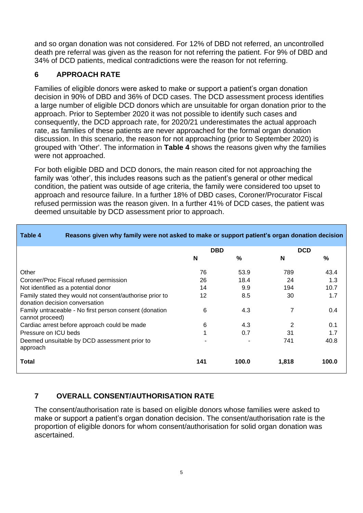and so organ donation was not considered. For 12% of DBD not referred, an uncontrolled death pre referral was given as the reason for not referring the patient. For 9% of DBD and 34% of DCD patients, medical contradictions were the reason for not referring.

#### **6 APPROACH RATE**

Families of eligible donors were asked to make or support a patient's organ donation decision in 90% of DBD and 36% of DCD cases. The DCD assessment process identifies a large number of eligible DCD donors which are unsuitable for organ donation prior to the approach. Prior to September 2020 it was not possible to identify such cases and consequently, the DCD approach rate, for 2020/21 underestimates the actual approach rate, as families of these patients are never approached for the formal organ donation discussion. In this scenario, the reason for not approaching (prior to September 2020) is grouped with 'Other'. The information in **Table 4** shows the reasons given why the families were not approached.

For both eligible DBD and DCD donors, the main reason cited for not approaching the family was 'other', this includes reasons such as the patient's general or other medical condition, the patient was outside of age criteria, the family were considered too upset to approach and resource failure. In a further 18% of DBD cases, Coroner/Procurator Fiscal refused permission was the reason given. In a further 41% of DCD cases, the patient was deemed unsuitable by DCD assessment prior to approach.

| Table 4                        | Reasons given why family were not asked to make or support patient's organ donation decision |            |       |            |       |
|--------------------------------|----------------------------------------------------------------------------------------------|------------|-------|------------|-------|
|                                |                                                                                              | <b>DBD</b> |       | <b>DCD</b> |       |
|                                |                                                                                              | N          | %     | N          | %     |
| Other                          |                                                                                              | 76         | 53.9  | 789        | 43.4  |
|                                | Coroner/Proc Fiscal refused permission                                                       | 26         | 18.4  | 24         | 1.3   |
|                                | Not identified as a potential donor                                                          | 14         | 9.9   | 194        | 10.7  |
| donation decision conversation | Family stated they would not consent/authorise prior to                                      | 12         | 8.5   | 30         | 1.7   |
| cannot proceed)                | Family untraceable - No first person consent (donation                                       | 6          | 4.3   | 7          | 0.4   |
|                                | Cardiac arrest before approach could be made                                                 | 6          | 4.3   | 2          | 0.1   |
| Pressure on ICU beds           |                                                                                              | 1          | 0.7   | 31         | 1.7   |
| approach                       | Deemed unsuitable by DCD assessment prior to                                                 |            |       | 741        | 40.8  |
| Total                          |                                                                                              | 141        | 100.0 | 1,818      | 100.0 |

### **7 OVERALL CONSENT/AUTHORISATION RATE**

The consent/authorisation rate is based on eligible donors whose families were asked to make or support a patient's organ donation decision. The consent/authorisation rate is the proportion of eligible donors for whom consent/authorisation for solid organ donation was ascertained.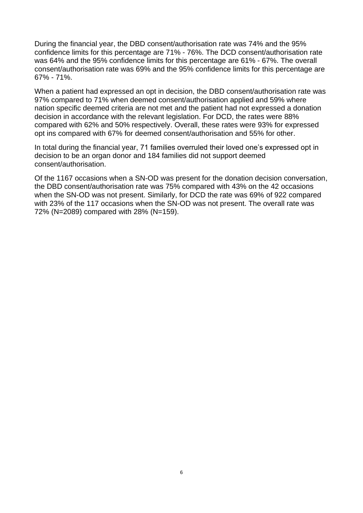During the financial year, the DBD consent/authorisation rate was 74% and the 95% confidence limits for this percentage are 71% - 76%. The DCD consent/authorisation rate was 64% and the 95% confidence limits for this percentage are 61% - 67%. The overall consent/authorisation rate was 69% and the 95% confidence limits for this percentage are 67% - 71%.

When a patient had expressed an opt in decision, the DBD consent/authorisation rate was 97% compared to 71% when deemed consent/authorisation applied and 59% where nation specific deemed criteria are not met and the patient had not expressed a donation decision in accordance with the relevant legislation. For DCD, the rates were 88% compared with 62% and 50% respectively. Overall, these rates were 93% for expressed opt ins compared with 67% for deemed consent/authorisation and 55% for other.

In total during the financial year, 71 families overruled their loved one's expressed opt in decision to be an organ donor and 184 families did not support deemed consent/authorisation.

Of the 1167 occasions when a SN-OD was present for the donation decision conversation, the DBD consent/authorisation rate was 75% compared with 43% on the 42 occasions when the SN-OD was not present. Similarly, for DCD the rate was 69% of 922 compared with 23% of the 117 occasions when the SN-OD was not present. The overall rate was 72% (N=2089) compared with 28% (N=159).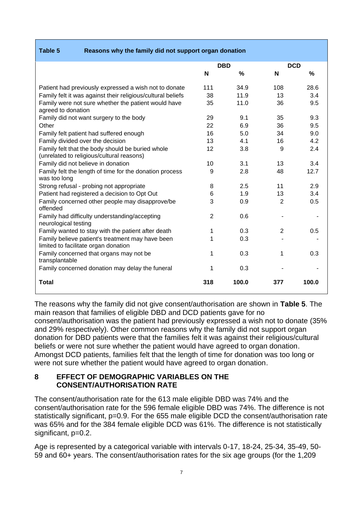| Reasons why the family did not support organ donation<br>Table 5                              |                |            |            |       |
|-----------------------------------------------------------------------------------------------|----------------|------------|------------|-------|
|                                                                                               |                | <b>DBD</b> | <b>DCD</b> |       |
|                                                                                               | N              | %          | N          | %     |
| Patient had previously expressed a wish not to donate                                         | 111            | 34.9       | 108        | 28.6  |
| Family felt it was against their religious/cultural beliefs                                   | 38             | 11.9       | 13         | 3.4   |
| Family were not sure whether the patient would have<br>agreed to donation                     | 35             | 11.0       | 36         | 9.5   |
| Family did not want surgery to the body                                                       | 29             | 9.1        | 35         | 9.3   |
| Other                                                                                         | 22             | 6.9        | 36         | 9.5   |
| Family felt patient had suffered enough                                                       | 16             | 5.0        | 34         | 9.0   |
| Family divided over the decision                                                              | 13             | 4.1        | 16         | 4.2   |
| Family felt that the body should be buried whole<br>(unrelated to religious/cultural reasons) | 12             | 3.8        | 9          | 2.4   |
| Family did not believe in donation                                                            | 10             | 3.1        | 13         | 3.4   |
| Family felt the length of time for the donation process<br>was too long                       | 9              | 2.8        | 48         | 12.7  |
| Strong refusal - probing not appropriate                                                      | 8              | 2.5        | 11         | 2.9   |
| Patient had registered a decision to Opt Out                                                  | 6              | 1.9        | 13         | 3.4   |
| Family concerned other people may disapprove/be<br>offended                                   | 3              | 0.9        | 2          | 0.5   |
| Family had difficulty understanding/accepting<br>neurological testing                         | $\overline{2}$ | 0.6        |            |       |
| Family wanted to stay with the patient after death                                            | 1              | 0.3        | 2          | 0.5   |
| Family believe patient's treatment may have been<br>limited to facilitate organ donation      | 1              | 0.3        |            |       |
| Family concerned that organs may not be<br>transplantable                                     | 1              | 0.3        | 1          | 0.3   |
| Family concerned donation may delay the funeral                                               | 1              | 0.3        |            |       |
| <b>Total</b>                                                                                  | 318            | 100.0      | 377        | 100.0 |

The reasons why the family did not give consent/authorisation are shown in **Table 5**. The main reason that families of eligible DBD and DCD patients gave for no consent/authorisation was the patient had previously expressed a wish not to donate (35% and 29% respectively). Other common reasons why the family did not support organ donation for DBD patients were that the families felt it was against their religious/cultural beliefs or were not sure whether the patient would have agreed to organ donation. Amongst DCD patients, families felt that the length of time for donation was too long or were not sure whether the patient would have agreed to organ donation.

#### **8 EFFECT OF DEMOGRAPHIC VARIABLES ON THE CONSENT/AUTHORISATION RATE**

The consent/authorisation rate for the 613 male eligible DBD was 74% and the consent/authorisation rate for the 596 female eligible DBD was 74%. The difference is not statistically significant, p=0.9. For the 655 male eligible DCD the consent/authorisation rate was 65% and for the 384 female eligible DCD was 61%. The difference is not statistically significant, p=0.2.

Age is represented by a categorical variable with intervals 0-17, 18-24, 25-34, 35-49, 50- 59 and 60+ years. The consent/authorisation rates for the six age groups (for the 1,209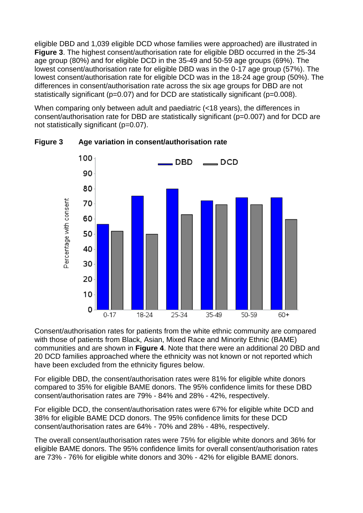eligible DBD and 1,039 eligible DCD whose families were approached) are illustrated in **Figure 3**. The highest consent/authorisation rate for eligible DBD occurred in the 25-34 age group (80%) and for eligible DCD in the 35-49 and 50-59 age groups (69%). The lowest consent/authorisation rate for eligible DBD was in the 0-17 age group (57%). The lowest consent/authorisation rate for eligible DCD was in the 18-24 age group (50%). The differences in consent/authorisation rate across the six age groups for DBD are not statistically significant (p=0.07) and for DCD are statistically significant (p=0.008).

When comparing only between adult and paediatric (<18 years), the differences in consent/authorisation rate for DBD are statistically significant (p=0.007) and for DCD are not statistically significant (p=0.07).



**Figure 3 Age variation in consent/authorisation rate**

Consent/authorisation rates for patients from the white ethnic community are compared with those of patients from Black, Asian, Mixed Race and Minority Ethnic (BAME) communities and are shown in **Figure 4**. Note that there were an additional 20 DBD and 20 DCD families approached where the ethnicity was not known or not reported which have been excluded from the ethnicity figures below.

For eligible DBD, the consent/authorisation rates were 81% for eligible white donors compared to 35% for eligible BAME donors. The 95% confidence limits for these DBD consent/authorisation rates are 79% - 84% and 28% - 42%, respectively.

For eligible DCD, the consent/authorisation rates were 67% for eligible white DCD and 38% for eligible BAME DCD donors. The 95% confidence limits for these DCD consent/authorisation rates are 64% - 70% and 28% - 48%, respectively.

The overall consent/authorisation rates were 75% for eligible white donors and 36% for eligible BAME donors. The 95% confidence limits for overall consent/authorisation rates are 73% - 76% for eligible white donors and 30% - 42% for eligible BAME donors.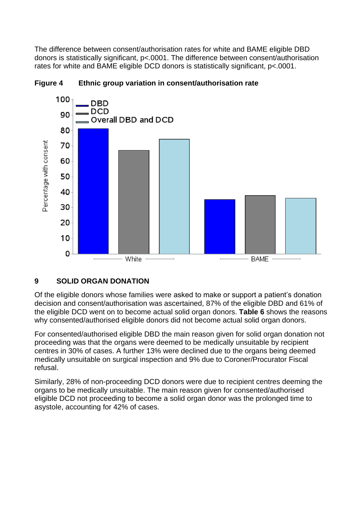The difference between consent/authorisation rates for white and BAME eligible DBD donors is statistically significant, p<.0001. The difference between consent/authorisation rates for white and BAME eligible DCD donors is statistically significant, p<.0001.





### **9 SOLID ORGAN DONATION**

Of the eligible donors whose families were asked to make or support a patient's donation decision and consent/authorisation was ascertained, 87% of the eligible DBD and 61% of the eligible DCD went on to become actual solid organ donors. **Table 6** shows the reasons why consented/authorised eligible donors did not become actual solid organ donors.

For consented/authorised eligible DBD the main reason given for solid organ donation not proceeding was that the organs were deemed to be medically unsuitable by recipient centres in 30% of cases. A further 13% were declined due to the organs being deemed medically unsuitable on surgical inspection and 9% due to Coroner/Procurator Fiscal refusal.

Similarly, 28% of non-proceeding DCD donors were due to recipient centres deeming the organs to be medically unsuitable. The main reason given for consented/authorised eligible DCD not proceeding to become a solid organ donor was the prolonged time to asystole, accounting for 42% of cases.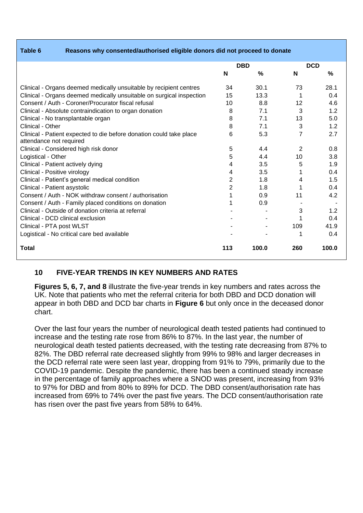| Table 6 |  |  |
|---------|--|--|
|         |  |  |

**Table 6 Reasons why consented/authorised eligible donors did not proceed to donate**

|                                                                      | <b>DBD</b>     |               | <b>DCD</b> |       |
|----------------------------------------------------------------------|----------------|---------------|------------|-------|
|                                                                      | N              | $\frac{0}{0}$ | N          | %     |
| Clinical - Organs deemed medically unsuitable by recipient centres   | 34             | 30.1          | 73         | 28.1  |
| Clinical - Organs deemed medically unsuitable on surgical inspection | 15             | 13.3          |            | 0.4   |
| Consent / Auth - Coroner/Procurator fiscal refusal                   | 10             | 8.8           | 12         | 4.6   |
| Clinical - Absolute contraindication to organ donation               | 8              | 7.1           | 3          | 1.2   |
| Clinical - No transplantable organ                                   | 8              | 7.1           | 13         | 5.0   |
| Clinical - Other                                                     | 8              | 7.1           | 3          | 1.2   |
| Clinical - Patient expected to die before donation could take place  | 6              | 5.3           | 7          | 2.7   |
| attendance not required                                              |                |               |            |       |
| Clinical - Considered high risk donor                                | 5              | 4.4           | 2          | 0.8   |
| Logistical - Other                                                   | 5              | 4.4           | 10         | 3.8   |
| Clinical - Patient actively dying                                    | 4              | 3.5           | 5          | 1.9   |
| Clinical - Positive virology                                         | 4              | 3.5           |            | 0.4   |
| Clinical - Patient's general medical condition                       | 2              | 1.8           | 4          | 1.5   |
| Clinical - Patient asystolic                                         | $\overline{2}$ | 1.8           |            | 0.4   |
| Consent / Auth - NOK withdraw consent / authorisation                |                | 0.9           | 11         | 4.2   |
| Consent / Auth - Family placed conditions on donation                |                | 0.9           |            |       |
| Clinical - Outside of donation criteria at referral                  |                |               | 3          | 1.2   |
| Clinical - DCD clinical exclusion                                    |                |               |            | 0.4   |
| Clinical - PTA post WLST                                             |                |               | 109        | 41.9  |
| Logistical - No critical care bed available                          |                |               | 1          | 0.4   |
| <b>Total</b>                                                         | 113            | 100.0         | 260        | 100.0 |

### **10 FIVE-YEAR TRENDS IN KEY NUMBERS AND RATES**

**Figures 5, 6, 7, and 8** illustrate the five-year trends in key numbers and rates across the UK. Note that patients who met the referral criteria for both DBD and DCD donation will appear in both DBD and DCD bar charts in **Figure 6** but only once in the deceased donor chart.

Over the last four years the number of neurological death tested patients had continued to increase and the testing rate rose from 86% to 87%. In the last year, the number of neurological death tested patients decreased, with the testing rate decreasing from 87% to 82%. The DBD referral rate decreased slightly from 99% to 98% and larger decreases in the DCD referral rate were seen last year, dropping from 91% to 79%, primarily due to the COVID-19 pandemic. Despite the pandemic, there has been a continued steady increase in the percentage of family approaches where a SNOD was present, increasing from 93% to 97% for DBD and from 80% to 89% for DCD. The DBD consent/authorisation rate has increased from 69% to 74% over the past five years. The DCD consent/authorisation rate has risen over the past five years from 58% to 64%.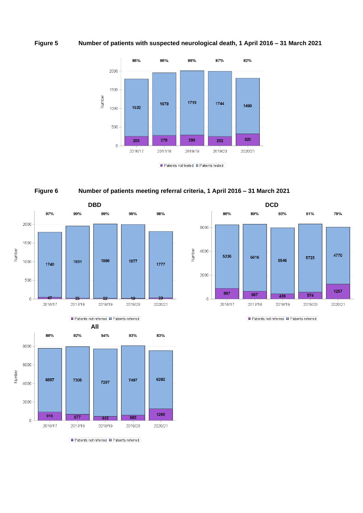#### **Figure 5 Number of patients with suspected neurological death, 1 April 2016 – 31 March 2021**



 $\blacksquare$  Patients not tested  $\blacksquare$  Patients tested









Patients not referred Patients referred

Patients not referred Patients referred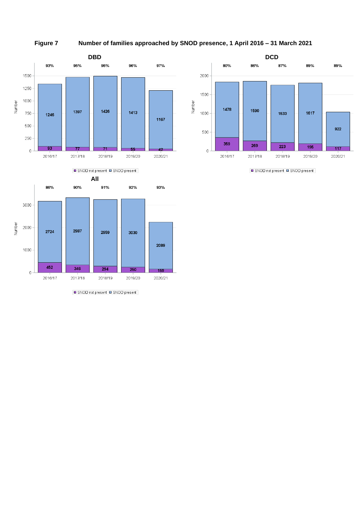**Figure 7 Number of families approached by SNOD presence, 1 April 2016 – 31 March 2021**





SNOD not present SNOD present



SNOD not present SNOD present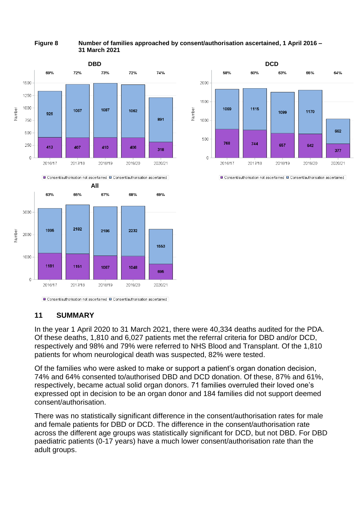#### **Figure 8 Number of families approached by consent/authorisation ascertained, 1 April 2016 – 31 March 2021**





■ Consent/authorisation not ascertained ■ Consent/authorisation ascertained

#### **11 SUMMARY**

In the year 1 April 2020 to 31 March 2021, there were 40,334 deaths audited for the PDA. Of these deaths, 1,810 and 6,027 patients met the referral criteria for DBD and/or DCD, respectively and 98% and 79% were referred to NHS Blood and Transplant. Of the 1,810 patients for whom neurological death was suspected, 82% were tested.

Of the families who were asked to make or support a patient's organ donation decision, 74% and 64% consented to/authorised DBD and DCD donation. Of these, 87% and 61%, respectively, became actual solid organ donors. 71 families overruled their loved one's expressed opt in decision to be an organ donor and 184 families did not support deemed consent/authorisation.

There was no statistically significant difference in the consent/authorisation rates for male and female patients for DBD or DCD. The difference in the consent/authorisation rate across the different age groups was statistically significant for DCD, but not DBD. For DBD paediatric patients (0-17 years) have a much lower consent/authorisation rate than the adult groups.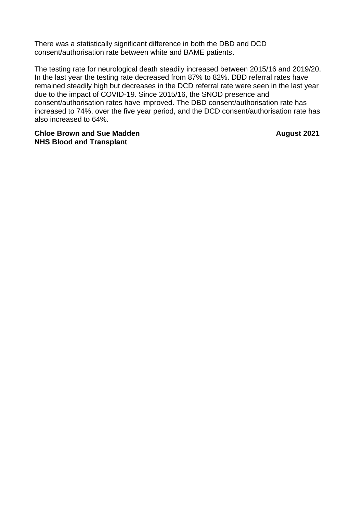There was a statistically significant difference in both the DBD and DCD consent/authorisation rate between white and BAME patients.

The testing rate for neurological death steadily increased between 2015/16 and 2019/20. In the last year the testing rate decreased from 87% to 82%. DBD referral rates have remained steadily high but decreases in the DCD referral rate were seen in the last year due to the impact of COVID-19. Since 2015/16, the SNOD presence and consent/authorisation rates have improved. The DBD consent/authorisation rate has increased to 74%, over the five year period, and the DCD consent/authorisation rate has also increased to 64%.

**Chloe Brown and Sue Madden August 2021 NHS Blood and Transplant**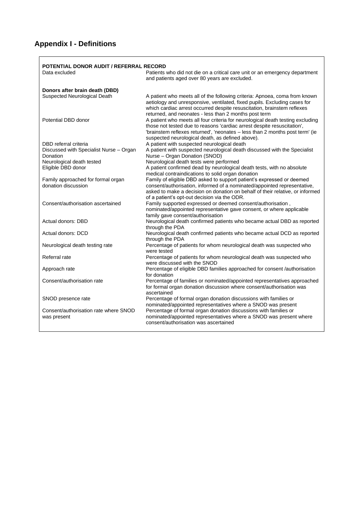## **Appendix I - Definitions**

|                                                           | POTENTIAL DONOR AUDIT / REFERRAL RECORD                                                                                                                                                                                                                                                       |
|-----------------------------------------------------------|-----------------------------------------------------------------------------------------------------------------------------------------------------------------------------------------------------------------------------------------------------------------------------------------------|
| Data excluded                                             | Patients who did not die on a critical care unit or an emergency department<br>and patients aged over 80 years are excluded.                                                                                                                                                                  |
| Donors after brain death (DBD)                            |                                                                                                                                                                                                                                                                                               |
| Suspected Neurological Death                              | A patient who meets all of the following criteria: Apnoea, coma from known<br>aetiology and unresponsive, ventilated, fixed pupils. Excluding cases for<br>which cardiac arrest occurred despite resuscitation, brainstem reflexes<br>returned, and neonates - less than 2 months post term   |
| Potential DBD donor                                       | A patient who meets all four criteria for neurological death testing excluding<br>those not tested due to reasons 'cardiac arrest despite resuscitation',<br>'brainstem reflexes returned', 'neonates - less than 2 months post term' (ie<br>suspected neurological death, as defined above). |
| DBD referral criteria                                     | A patient with suspected neurological death                                                                                                                                                                                                                                                   |
| Discussed with Specialist Nurse - Organ<br>Donation       | A patient with suspected neurological death discussed with the Specialist<br>Nurse - Organ Donation (SNOD)                                                                                                                                                                                    |
| Neurological death tested                                 | Neurological death tests were performed                                                                                                                                                                                                                                                       |
| Eligible DBD donor                                        | A patient confirmed dead by neurological death tests, with no absolute<br>medical contraindications to solid organ donation                                                                                                                                                                   |
| Family approached for formal organ<br>donation discussion | Family of eligible DBD asked to support patient's expressed or deemed<br>consent/authorisation, informed of a nominated/appointed representative,<br>asked to make a decision on donation on behalf of their relative, or informed<br>of a patient's opt-out decision via the ODR.            |
| Consent/authorisation ascertained                         | Family supported expressed or deemed consent/authorisation,<br>nominated/appointed representative gave consent, or where applicable<br>family gave consent/authorisation                                                                                                                      |
| Actual donors: DBD                                        | Neurological death confirmed patients who became actual DBD as reported<br>through the PDA                                                                                                                                                                                                    |
| Actual donors: DCD                                        | Neurological death confirmed patients who became actual DCD as reported<br>through the PDA                                                                                                                                                                                                    |
| Neurological death testing rate                           | Percentage of patients for whom neurological death was suspected who<br>were tested                                                                                                                                                                                                           |
| Referral rate                                             | Percentage of patients for whom neurological death was suspected who<br>were discussed with the SNOD                                                                                                                                                                                          |
| Approach rate                                             | Percentage of eligible DBD families approached for consent /authorisation<br>for donation                                                                                                                                                                                                     |
| Consent/authorisation rate                                | Percentage of families or nominated/appointed representatives approached<br>for formal organ donation discussion where consent/authorisation was<br>ascertained                                                                                                                               |
| SNOD presence rate                                        | Percentage of formal organ donation discussions with families or<br>nominated/appointed representatives where a SNOD was present                                                                                                                                                              |
| Consent/authorisation rate where SNOD<br>was present      | Percentage of formal organ donation discussions with families or<br>nominated/appointed representatives where a SNOD was present where<br>consent/authorisation was ascertained                                                                                                               |